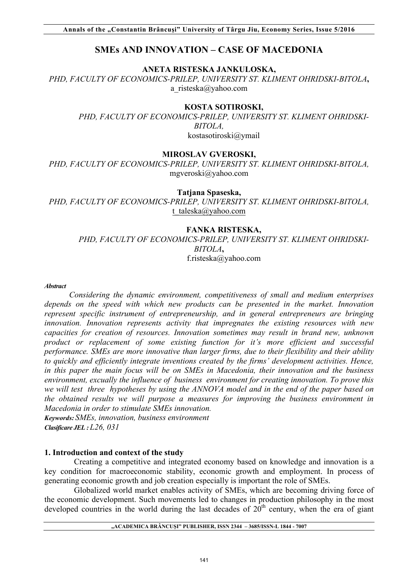# **SMEs AND INNOVATION – CASE OF MACEDONIA**

**ANETA RISTESKA JANKULOSKA,** 

*PHD, FACULTY OF ECONOMICS-PRILEP, UNIVERSITY ST. KLIMENT OHRIDSKI-BITOLA***,**  a\_risteska@yahoo.com

### **KOSTA SOTIROSKI,**

*PHD, FACULTY OF ECONOMICS-PRILEP, UNIVERSITY ST. KLIMENT OHRIDSKI-BITOLA,* kostasotiroski@ymail

### **MIROSLAV GVEROSKI,**

*PHD, FACULTY OF ECONOMICS-PRILEP, UNIVERSITY ST. KLIMENT OHRIDSKI-BITOLA,* mgveroski@yahoo.com

#### **Tatjana Spaseska,**

*PHD, FACULTY OF ECONOMICS-PRILEP, UNIVERSITY ST. KLIMENT OHRIDSKI-BITOLA,* t\_taleska@yahoo.com

## **FANKA RISTESKA,**

*PHD, FACULTY OF ECONOMICS-PRILEP, UNIVERSITY ST. KLIMENT OHRIDSKI-BITOLA***,**  f.risteska@yahoo.com

*Abstract*

*Considering the dynamic environment, competitiveness of small and medium enterprises depends on the speed with which new products can be presented in the market. Innovation represent specific instrument of entrepreneurship, and in general entrepreneurs are bringing innovation. Innovation represents activity that impregnates the existing resources with new capacities for creation of resources. Innovation sometimes may result in brand new, unknown product or replacement of some existing function for it's more efficient and successful performance. SMEs are more innovative than larger firms, due to their flexibility and their ability to quickly and efficiently integrate inventions created by the firms' development activities. Hence, in this paper the main focus will be on SMEs in Macedonia, their innovation and the business environment, excually the influence of business environment for creating innovation. To prove this we will test three hypotheses by using the ANNOVA model and in the end of the paper based on the obtained results we will purpose a measures for improving the business environment in Macedonia in order to stimulate SMEs innovation.* 

*Keywords: SMEs, innovation, business environment Clasificare JEL : L26, 031*

### **1. Introduction and context of the study**

Creating a competitive and integrated economy based on knowledge and innovation is a key condition for macroeconomic stability, economic growth and employment. In process of generating economic growth and job creation especially is important the role of SMEs.

Globalized world market enables activity of SMEs, which are becoming driving force of the economic development. Such movements led to changes in production philosophy in the most developed countries in the world during the last decades of  $20<sup>th</sup>$  century, when the era of giant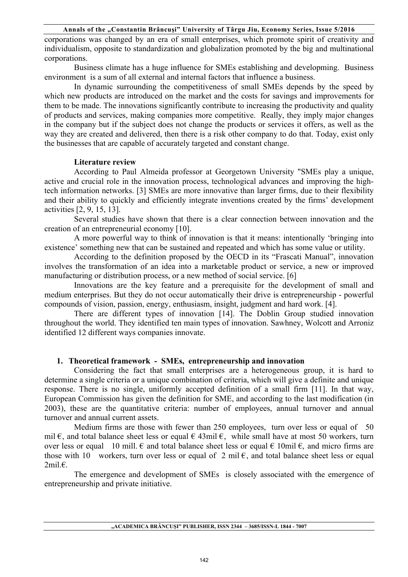corporations was changed by an era of small enterprises, which promote spirit of creativity and individualism, opposite to standardization and globalization promoted by the big and multinational corporations.

Business climate has a huge influence for SMEs establishing and developming. Business environment is a sum of all external and internal factors that influence a business.

In dynamic surrounding the competitiveness of small SMEs depends by the speed by which new products are introduced on the market and the costs for savings and improvements for them to be made. The innovations significantly contribute to increasing the productivity and quality of products and services, making companies more competitive. Really, they imply major changes in the company but if the subject does not change the products or services it offers, as well as the way they are created and delivered, then there is a risk other company to do that. Today, exist only the businesses that are capable of accurately targeted and constant change.

### **Literature review**

According to Paul Almeida professor at Georgetown University "SMEs play a unique, active and crucial role in the innovation process, technological advances and improving the hightech information networks. [3] SMEs are more innovative than larger firms, due to their flexibility and their ability to quickly and efficiently integrate inventions created by the firms' development activities [2, 9, 15, 13].

Several studies have shown that there is a clear connection between innovation and the creation of an entrepreneurial economy [10].

A more powerful way to think of innovation is that it means: intentionally 'bringing into existence' something new that can be sustained and repeated and which has some value or utility.

According to the definition proposed by the OECD in its "Frascati Manual", innovation involves the transformation of an idea into a marketable product or service, a new or improved manufacturing or distribution process, or a new method of social service. [6]

Innovations are the key feature and a prerequisite for the development of small and medium enterprises. But they do not occur automatically their drive is entrepreneurship - powerful compounds of vision, passion, energy, enthusiasm, insight, judgment and hard work. [4].

There are different types of innovation [14]. The Doblin Group studied innovation throughout the world. They identified ten main types of innovation. Sawhney, Wolcott and Arroniz identified 12 different ways companies innovate.

## **1. Theoretical framework - SMEs, entrepreneurship and innovation**

Considering the fact that small enterprises are a heterogeneous group, it is hard to determine a single criteria or a unique combination of criteria, which will give a definite and unique response. There is no single, uniformly accepted definition of a small firm [11]. In that way, European Commission has given the definition for SME, and according to the last modification (in 2003), these are the quantitative criteria: number of employees, annual turnover and annual turnover and annual current assets.

Medium firms are those with fewer than 250 employees, turn over less or equal of 50 mil  $\epsilon$ , and total balance sheet less or equal  $\epsilon$  43mil  $\epsilon$ , while small have at most 50 workers, turn over less or equal 10 mill.  $\epsilon$  and total balance sheet less or equal  $\epsilon$  10mil  $\epsilon$ , and micro firms are those with 10 workers, turn over less or equal of 2 mil  $\epsilon$ , and total balance sheet less or equal 2mil.€.

The emergence and development of SMEs is closely associated with the emergence of entrepreneurship and private initiative.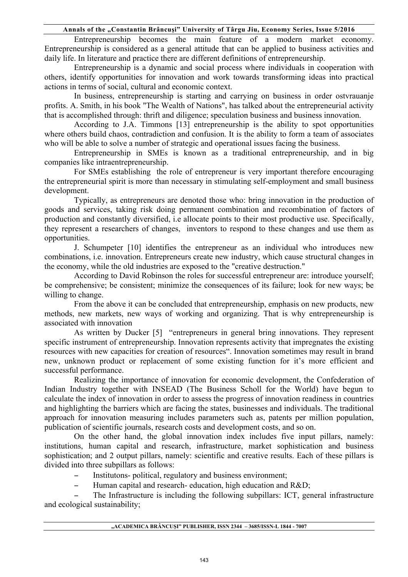Entrepreneurship becomes the main feature of a modern market economy. Entrepreneurship is considered as a general attitude that can be applied to business activities and daily life. In literature and practice there are different definitions of entrepreneurship.

Entrepreneurship is a dynamic and social process where individuals in cooperation with others, identify opportunities for innovation and work towards transforming ideas into practical actions in terms of social, cultural and economic context.

In business, entrepreneurship is starting and carrying on business in order ostvrauanje profits. A. Smith, in his book "The Wealth of Nations", has talked about the entrepreneurial activity that is accomplished through: thrift and diligence; speculation business and business innovation.

According to J.A. Timmons [13] entrepreneurship is the ability to spot opportunities where others build chaos, contradiction and confusion. It is the ability to form a team of associates who will be able to solve a number of strategic and operational issues facing the business.

Entrepreneurship in SMEs is known as a traditional entrepreneurship, and in big companies like intraentrepreneurship.

For SMEs establishing the role of entrepreneur is very important therefore encouraging the entrepreneurial spirit is more than necessary in stimulating self-employment and small business development.

Typically, as entrepreneurs are denoted those who: bring innovation in the production of goods and services, taking risk doing permanent combination and recombination of factors of production and constantly diversified, i.e allocate points to their most productive use. Specifically, they represent a researchers of changes, inventors to respond to these changes and use them as opportunities.

J. Schumpeter [10] identifies the entrepreneur as an individual who introduces new combinations, i.e. innovation. Entrepreneurs create new industry, which cause structural changes in the economy, while the old industries are exposed to the "creative destruction."

According to David Robinson the roles for successful entrepreneur are: introduce yourself; be comprehensive; be consistent; minimize the consequences of its failure; look for new ways; be willing to change.

From the above it can be concluded that entrepreneurship, emphasis on new products, new methods, new markets, new ways of working and organizing. That is why entrepreneurship is associated with innovation

As written by Ducker [5] "entrepreneurs in general bring innovations. They represent specific instrument of entrepreneurship. Innovation represents activity that impregnates the existing resources with new capacities for creation of resources". Innovation sometimes may result in brand new, unknown product or replacement of some existing function for it's more efficient and successful performance.

Realizing the importance of innovation for economic development, the Confederation of Indian Industry together with INSEAD (The Business Scholl for the World) have begun to calculate the index of innovation in order to assess the progress of innovation readiness in countries and highlighting the barriers which are facing the states, businesses and individuals. The traditional approach for innovation measuring includes parameters such as, patents per million population, publication of scientific journals, research costs and development costs, and so on.

On the other hand, the global innovation index includes five input pillars, namely: institutions, human capital and research, infrastructure, market sophistication and business sophistication; and 2 output pillars, namely: scientific and creative results. Each of these pillars is divided into three subpillars as follows:

- Institutons- political, regulatory and business environment;
- − Human capital and research- education, high education and R&D;

The Infrastructure is including the following subpillars: ICT, general infrastructure and ecological sustainability;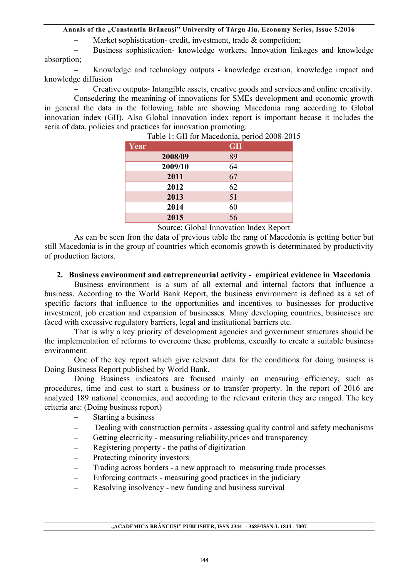− Market sophistication- credit, investment, trade & competition;

− Business sophistication- knowledge workers, Innovation linkages and knowledge absorption;

Knowledge and technology outputs - knowledge creation, knowledge impact and knowledge diffusion

− Creative outputs- Intangible assets, creative goods and services and online creativity.

Consedering the meanining of innovations for SMEs development and economic growth in general the data in the following table are showing Macedonia rang according to Global innovation index (GII). Also Global innovation index report is important becase it includes the seria of data, policies and practices for innovation promoting.

| Year    | -----, r<br><b>GII</b> |
|---------|------------------------|
| 2008/09 | 89                     |
| 2009/10 | 64                     |
| 2011    | 67                     |
| 2012    | 62                     |
| 2013    | 51                     |
| 2014    | 60                     |
| 2015    | 56                     |

Table 1: GII for Macedonia, period 2008-2015

Source: Global Innovation Index Report

As can be seen fron the data of previous table the rang of Macedonia is getting better but still Macedonia is in the group of countries which economis growth is determinated by productivity of production factors.

## **2. Business environment and entrepreneurial activity - empirical evidence in Macedonia**

Business environment is a sum of all external and internal factors that influence a business. According to the World Bank Report, the business environment is defined as a set of specific factors that influence to the opportunities and incentives to businesses for productive investment, job creation and expansion of businesses. Many developing countries, businesses are faced with excessive regulatory barriers, legal and institutional barriers etc.

That is why a key priority of development agencies and government structures should be the implementation of reforms to overcome these problems, excually to create a suitable business environment.

One of the key report which give relevant data for the conditions for doing business is Doing Business Report published by World Bank.

Doing Business indicators are focused mainly on measuring efficiency, such as procedures, time and cost to start a business or to transfer property. In the report of 2016 are analyzed 189 national economies, and according to the relevant criteria they are ranged. The key criteria are: (Doing business report)

- − Starting a business
- − Dealing with construction permits assessing quality control and safety mechanisms
- − Getting electricity measuring reliability,prices and transparency
- − Registering property the paths of digitization
- − Protecting minority investors
- − Trading across borders a new approach to measuring trade processes
- − Enforcing contracts measuring good practices in the judiciary
- − Resolving insolvency new funding and business survival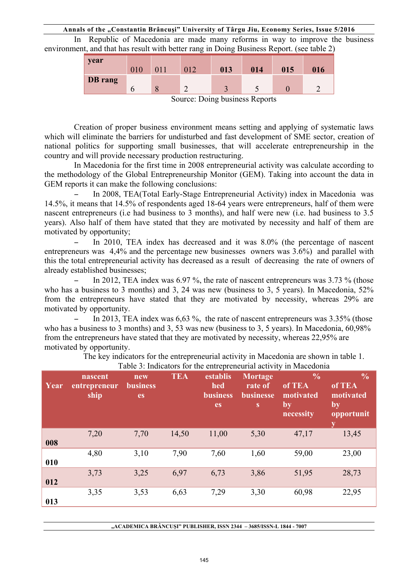In Republic of Macedonia are made many reforms in way to improve the business environment, and that has result with better rang in Doing Business Report. (see table 2)

| <b>vear</b>                    |     |  |     |     |     |     |     |
|--------------------------------|-----|--|-----|-----|-----|-----|-----|
|                                | 010 |  | 012 | 013 | 014 | 015 | 016 |
| <b>DB</b> rang                 |     |  |     |     |     |     |     |
|                                |     |  |     |     |     |     |     |
| Source: Doing business Reports |     |  |     |     |     |     |     |

Creation of proper business environment means setting and applying of systematic laws which will eliminate the barriers for undisturbed and fast development of SME sector, creation of national politics for supporting small businesses, that will accelerate entrepreneurship in the country and will provide necessary production restructuring.

In Macedonia for the first time in 2008 entrepreneurial activity was calculate according to the methodology of the Global Entrepreneurship Monitor (GEM). Taking into account the data in GEM reports it can make the following conclusions:

− In 2008, TEA(Total Early-Stage Entrepreneurial Activity) index in Macedonia was 14.5%, it means that 14.5% of respondents aged 18-64 years were entrepreneurs, half of them were nascent entrepreneurs (i.e had business to 3 months), and half were new (i.e. had business to 3.5 years). Also half of them have stated that they are motivated by necessity and half of them are motivated by opportunity;

In 2010, TEA index has decreased and it was 8.0% (the percentage of nascent entrepreneurs was 4,4% and the percentage new businesses owners was 3.6%) and parallel with this the total entrepreneurial activity has decreased as a result of decreasing the rate of owners of already established businesses;

In 2012, TEA index was 6.97 %, the rate of nascent entrepreneurs was 3.73 % (those who has a business to 3 months) and 3, 24 was new (business to 3, 5 years). In Macedonia, 52% from the entrepreneurs have stated that they are motivated by necessity, whereas 29% are motivated by opportunity.

In 2013, TEA index was  $6.63$  %, the rate of nascent entrepreneurs was  $3.35\%$  (those who has a business to 3 months) and 3, 53 was new (business to 3, 5 years). In Macedonia, 60,98% from the entrepreneurs have stated that they are motivated by necessity, whereas 22,95% are motivated by opportunity.

The key indicators for the entrepreneurial activity in Macedonia are shown in table 1.

|      |                                 |                              |            |                                          |                                      | I able 5. Indicators for the charge cheating activity in inaccuonia                    |                                                                           |
|------|---------------------------------|------------------------------|------------|------------------------------------------|--------------------------------------|----------------------------------------------------------------------------------------|---------------------------------------------------------------------------|
| Year | nascent<br>entrepreneur<br>ship | new<br><b>business</b><br>es | <b>TEA</b> | establis<br>hed<br><b>business</b><br>es | Mortage<br>rate of<br>businesse<br>S | $\frac{0}{0}$<br>of TEA<br>motivated<br>$\mathbf{b}\overline{\mathbf{y}}$<br>necessity | $\frac{0}{0}$<br>of TEA<br>motivated<br>$\mathbf{b}$ y<br>opportunit<br>у |
| 008  | 7,20                            | 7,70                         | 14,50      | 11,00                                    | 5,30                                 | 47,17                                                                                  | 13,45                                                                     |
| 010  | 4,80                            | 3,10                         | 7,90       | 7,60                                     | 1,60                                 | 59,00                                                                                  | 23,00                                                                     |
| 012  | 3,73                            | 3,25                         | 6,97       | 6,73                                     | 3,86                                 | 51,95                                                                                  | 28,73                                                                     |
| 013  | 3,35                            | 3,53                         | 6,63       | 7,29                                     | 3,30                                 | 60,98                                                                                  | 22,95                                                                     |

Table 3: Indicators for the entrepreneurial activity in Macedonia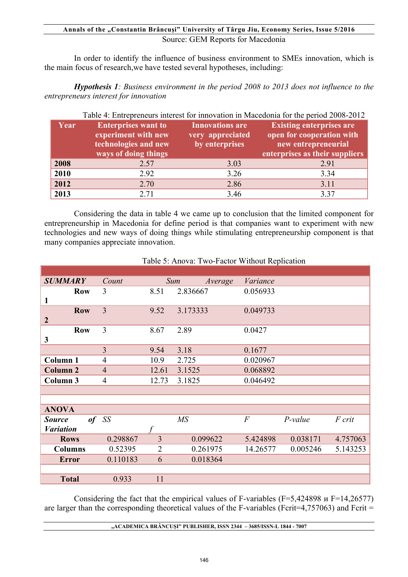## **Annals of the "Constantin Brâncuşi" University of Târgu Jiu, Economy Series, Issue 5/2016**  Source: GEM Reports for Macedonia

In order to identify the influence of business environment to SMEs innovation, which is the main focus of research,we have tested several hypotheses, including:

*Hypothesis 1: Business environment in the period 2008 to 2013 does not influence to the entrepreneurs interest for innovation* 

|      | Table 4: Entrepreneurs interest for innovation in Macedonia for the period 2008-2012              |                                                              |                                                                                                                       |  |  |  |  |  |
|------|---------------------------------------------------------------------------------------------------|--------------------------------------------------------------|-----------------------------------------------------------------------------------------------------------------------|--|--|--|--|--|
| Year | <b>Enterprises want to</b><br>experiment with new<br>technologies and new<br>ways of doing things | <b>Innovations</b> are<br>very appreciated<br>by enterprises | <b>Existing enterprises are</b><br>open for cooperation with<br>new entrepreneurial<br>enterprises as their suppliers |  |  |  |  |  |
| 2008 | 2.57                                                                                              | 3.03                                                         | 2.91                                                                                                                  |  |  |  |  |  |
| 2010 | 2.92                                                                                              | 3.26                                                         | 3.34                                                                                                                  |  |  |  |  |  |
| 2012 | 2.70                                                                                              | 2.86                                                         | 3.11                                                                                                                  |  |  |  |  |  |
| 2013 | 2.71                                                                                              | 3.46                                                         | 3.37                                                                                                                  |  |  |  |  |  |

Considering the data in table 4 we came up to conclusion that the limited component for entrepreneurship in Macedonia for define period is that companies want to experiment with new technologies and new ways of doing things while stimulating entrepreneurship component is that many companies appreciate innovation.

| <b>SUMMARY</b>      | Count          |                | Sum<br>Average | Variance       |           |          |
|---------------------|----------------|----------------|----------------|----------------|-----------|----------|
| <b>Row</b>          | 3              | 8.51           | 2.836667       | 0.056933       |           |          |
| 1                   |                |                |                |                |           |          |
| <b>Row</b>          | $\overline{3}$ | 9.52           | 3.173333       | 0.049733       |           |          |
| $\overline{2}$      |                |                |                |                |           |          |
| <b>Row</b>          | 3              | 8.67           | 2.89           | 0.0427         |           |          |
| 3                   |                |                |                |                |           |          |
|                     | $\overline{3}$ | 9.54           | 3.18           | 0.1677         |           |          |
| <b>Column 1</b>     | $\overline{4}$ | 10.9           | 2.725          | 0.020967       |           |          |
| <b>Column 2</b>     | $\overline{4}$ | 12.61          | 3.1525         | 0.068892       |           |          |
| Column <sub>3</sub> | $\overline{4}$ | 12.73          | 3.1825         | 0.046492       |           |          |
|                     |                |                |                |                |           |          |
|                     |                |                |                |                |           |          |
| <b>ANOVA</b>        |                |                |                |                |           |          |
| <b>Source</b>       | $of$ SS        |                | MS             | $\overline{F}$ | $P-value$ | F crit   |
| <b>Variation</b>    |                |                |                |                |           |          |
| <b>Rows</b>         | 0.298867       | 3              | 0.099622       | 5.424898       | 0.038171  | 4.757063 |
| <b>Columns</b>      | 0.52395        | $\overline{2}$ | 0.261975       | 14.26577       | 0.005246  | 5.143253 |
| <b>Error</b>        | 0.110183       | 6              | 0.018364       |                |           |          |
|                     |                |                |                |                |           |          |
| <b>Total</b>        | 0.933          | 11             |                |                |           |          |

## Table 5: Anova: Two-Factor Without Replication

Considering the fact that the empirical values of F-variables (F=5,424898 и F=14,26577) are larger than the corresponding theoretical values of the F-variables (Fcrit=4,757063) and Fcrit  $=$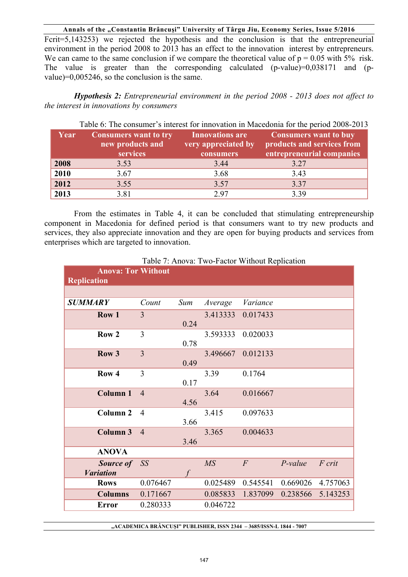Fcrit=5,143253) we rejected the hypothesis and the conclusion is that the entrepreneurial environment in the period 2008 to 2013 has an effect to the innovation interest by entrepreneurs. We can came to the same conclusion if we compare the theoretical value of  $p = 0.05$  with 5% risk. The value is greater than the corresponding calculated (p-value)=0,038171 and (pvalue)=0,005246, so the conclusion is the same.

*Hypothesis 2: Entrepreneurial environment in the period 2008 - 2013 does not affect to the interest in innovations by consumers* 

| Year | <b>Consumers want to try</b><br>new products and<br>services | <b>Innovations</b> are<br>very appreciated by<br>consumers | <b>Consumers want to buy</b><br>products and services from<br>entrepreneurial companies |
|------|--------------------------------------------------------------|------------------------------------------------------------|-----------------------------------------------------------------------------------------|
| 2008 | 3.53                                                         | 3.44                                                       | 3.27                                                                                    |
| 2010 | 3.67                                                         | 3.68                                                       | 3.43                                                                                    |
| 2012 | 3.55                                                         | 3.57                                                       | 3.37                                                                                    |
| 2013 | 3.81                                                         | 297                                                        | 3.39                                                                                    |

Table 6: The consumer's interest for innovation in Macedonia for the period 2008-2013

From the estimates in Table 4, it can be concluded that stimulating entrepreneurship component in Macedonia for defined period is that consumers want to try new products and services, they also appreciate innovation and they are open for buying products and services from enterprises which are targeted to innovation.

| <b>Anova: Tor Without</b><br><b>Replication</b> |                |      |                 |                |           |          |
|-------------------------------------------------|----------------|------|-----------------|----------------|-----------|----------|
|                                                 |                |      |                 |                |           |          |
| <b>SUMMARY</b>                                  | Count          | Sum  | Average         | Variance       |           |          |
| Row 1                                           | 3              | 0.24 | 3.413333        | 0.017433       |           |          |
| Row <sub>2</sub>                                | $\overline{3}$ | 0.78 | 3.593333        | 0.020033       |           |          |
| Row <sub>3</sub>                                | $\overline{3}$ | 0.49 | 3.496667        | 0.012133       |           |          |
| Row <sub>4</sub>                                | $\overline{3}$ | 0.17 | 3.39            | 0.1764         |           |          |
| <b>Column 1</b>                                 | $\overline{4}$ | 4.56 | 3.64            | 0.016667       |           |          |
| Column <sub>2</sub>                             | $\overline{4}$ | 3.66 | 3.415           | 0.097633       |           |          |
| Column 3                                        | $\overline{4}$ | 3.46 | 3.365           | 0.004633       |           |          |
| <b>ANOVA</b>                                    |                |      |                 |                |           |          |
| <b>Source of</b><br><b>Variation</b>            | SS             |      | $\overline{MS}$ | $\overline{F}$ | $P-value$ | F crit   |
| <b>Rows</b>                                     | 0.076467       |      | 0.025489        | 0.545541       | 0.669026  | 4.757063 |
| <b>Columns</b>                                  | 0.171667       |      | 0.085833        | 1.837099       | 0.238566  | 5.143253 |
| <b>Error</b>                                    | 0.280333       |      | 0.046722        |                |           |          |

Table 7: Anova: Two-Factor Without Replication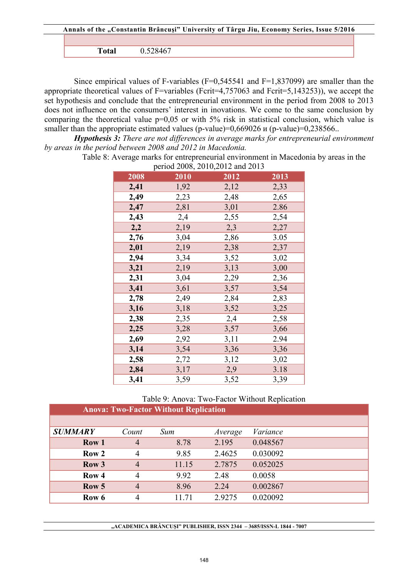| Annals of the "Constantin Brâncuși" University of Târgu Jiu, Economy Series, Issue 5/2016 |          |  |  |  |
|-------------------------------------------------------------------------------------------|----------|--|--|--|
|                                                                                           |          |  |  |  |
| Total                                                                                     | 0.528467 |  |  |  |

Since empirical values of F-variables  $(F=0.545541)$  and  $F=1.837099$  are smaller than the appropriate theoretical values of F=variables (Fcrit=4,757063 and Fcrit=5,143253)), we accept the set hypothesis and conclude that the entrepreneurial environment in the period from 2008 to 2013 does not influence on the consumers' interest in inovations. We come to the same conclusion by comparing the theoretical value p=0,05 or with 5% risk in statistical conclusion, which value is smaller than the appropriate estimated values (p-value)=0,669026 *u* (p-value)=0,238566...

*Hypothesis 3: There are not differences in average marks for entrepreneurial environment by areas in the period between 2008 and 2012 in Macedonia.* 

Table 8: Average marks for entrepreneurial environment in Macedonia by areas in the  $20000000000000$ 

|      | period 2008, 2010, 2012 and 2013 |      |      |  |  |  |  |
|------|----------------------------------|------|------|--|--|--|--|
| 2008 | 2010                             | 2012 | 2013 |  |  |  |  |
| 2,41 | 1,92                             | 2,12 | 2,33 |  |  |  |  |
| 2,49 | 2,23                             | 2,48 | 2,65 |  |  |  |  |
| 2,47 | 2,81                             | 3,01 | 2.86 |  |  |  |  |
| 2,43 | 2,4                              | 2,55 | 2,54 |  |  |  |  |
| 2,2  | 2,19                             | 2,3  | 2,27 |  |  |  |  |
| 2,76 | 3,04                             | 2,86 | 3.05 |  |  |  |  |
| 2,01 | 2,19                             | 2,38 | 2,37 |  |  |  |  |
| 2,94 | 3,34                             | 3,52 | 3,02 |  |  |  |  |
| 3,21 | 2,19                             | 3,13 | 3,00 |  |  |  |  |
| 2,31 | 3,04                             | 2,29 | 2,36 |  |  |  |  |
| 3,41 | 3,61                             | 3,57 | 3,54 |  |  |  |  |
| 2,78 | 2,49                             | 2,84 | 2,83 |  |  |  |  |
| 3,16 | 3,18                             | 3,52 | 3,25 |  |  |  |  |
| 2,38 | 2,35                             | 2,4  | 2,58 |  |  |  |  |
| 2,25 | 3,28                             | 3,57 | 3,66 |  |  |  |  |
| 2,69 | 2,92                             | 3,11 | 2.94 |  |  |  |  |
| 3,14 | 3,54                             | 3,36 | 3,36 |  |  |  |  |
| 2,58 | 2,72                             | 3,12 | 3,02 |  |  |  |  |
| 2,84 | 3,17                             | 2,9  | 3.18 |  |  |  |  |
| 3,41 | 3,59                             | 3,52 | 3,39 |  |  |  |  |

Table 9: Anova: Two-Factor Without Replication

|                  | <b>Anova: Two-Factor Without Replication</b> |       |         |          |  |  |  |  |
|------------------|----------------------------------------------|-------|---------|----------|--|--|--|--|
|                  |                                              |       |         |          |  |  |  |  |
| <b>SUMMARY</b>   | Count                                        | Sum   | Average | Variance |  |  |  |  |
| Row 1            | $\overline{4}$                               | 8.78  | 2.195   | 0.048567 |  |  |  |  |
| Row <sub>2</sub> | $\overline{4}$                               | 9.85  | 2.4625  | 0.030092 |  |  |  |  |
| Row <sub>3</sub> | $\overline{4}$                               | 11.15 | 2.7875  | 0.052025 |  |  |  |  |
| Row <sub>4</sub> | 4                                            | 9.92  | 2.48    | 0.0058   |  |  |  |  |
| Row 5            | $\overline{4}$                               | 8.96  | 2.24    | 0.002867 |  |  |  |  |
| Row 6            | 4                                            | 11.71 | 2.9275  | 0.020092 |  |  |  |  |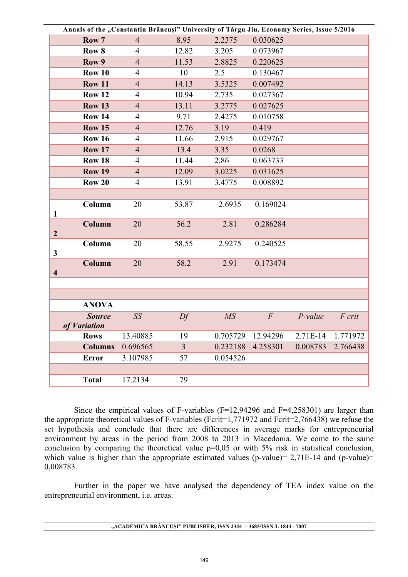|                         | Annals of the "Constantin Brâncuși" University of Târgu Jiu, Economy Series, Issue 5/2016 |                |                |          |                  |           |          |
|-------------------------|-------------------------------------------------------------------------------------------|----------------|----------------|----------|------------------|-----------|----------|
|                         | Row 7                                                                                     | $\overline{4}$ | 8.95           | 2.2375   | 0.030625         |           |          |
|                         | Row <sub>8</sub>                                                                          | $\overline{4}$ | 12.82          | 3.205    | 0.073967         |           |          |
|                         | Row 9                                                                                     | $\overline{4}$ | 11.53          | 2.8825   | 0.220625         |           |          |
|                         | <b>Row 10</b>                                                                             | $\overline{4}$ | 10             | 2.5      | 0.130467         |           |          |
|                         | <b>Row 11</b>                                                                             | $\overline{4}$ | 14.13          | 3.5325   | 0.007492         |           |          |
|                         | <b>Row 12</b>                                                                             | $\overline{4}$ | 10.94          | 2.735    | 0.027367         |           |          |
|                         | <b>Row 13</b>                                                                             | $\overline{4}$ | 13.11          | 3.2775   | 0.027625         |           |          |
|                         | <b>Row 14</b>                                                                             | $\overline{4}$ | 9.71           | 2.4275   | 0.010758         |           |          |
|                         | <b>Row 15</b>                                                                             | $\overline{4}$ | 12.76          | 3.19     | 0.419            |           |          |
|                         | <b>Row 16</b>                                                                             | $\overline{4}$ | 11.66          | 2.915    | 0.029767         |           |          |
|                         | <b>Row 17</b>                                                                             | $\overline{4}$ | 13.4           | 3.35     | 0.0268           |           |          |
|                         | <b>Row 18</b>                                                                             | $\overline{4}$ | 11.44          | 2.86     | 0.063733         |           |          |
|                         | <b>Row 19</b>                                                                             | $\overline{4}$ | 12.09          | 3.0225   | 0.031625         |           |          |
|                         | <b>Row 20</b>                                                                             | $\overline{4}$ | 13.91          | 3.4775   | 0.008892         |           |          |
|                         |                                                                                           |                |                |          |                  |           |          |
| 1                       | Column                                                                                    | 20             | 53.87          | 2.6935   | 0.169024         |           |          |
| $\boldsymbol{2}$        | Column                                                                                    | 20             | 56.2           | 2.81     | 0.286284         |           |          |
| $\mathbf{3}$            | Column                                                                                    | 20             | 58.55          | 2.9275   | 0.240525         |           |          |
| $\overline{\mathbf{4}}$ | Column                                                                                    | 20             | 58.2           | 2.91     | 0.173474         |           |          |
|                         |                                                                                           |                |                |          |                  |           |          |
|                         | <b>ANOVA</b>                                                                              |                |                |          |                  |           |          |
|                         | <b>Source</b><br>of Variation                                                             | SS             | Df             | MS       | $\boldsymbol{F}$ | $P-value$ | F crit   |
|                         | <b>Rows</b>                                                                               | 13.40885       | 19             | 0.705729 | 12.94296         | 2.71E-14  | 1.771972 |
|                         | <b>Columns</b>                                                                            | 0.696565       | $\overline{3}$ | 0.232188 | 4.258301         | 0.008783  | 2.766438 |
|                         | <b>Error</b>                                                                              | 3.107985       | 57             | 0.054526 |                  |           |          |
|                         |                                                                                           |                |                |          |                  |           |          |
|                         | <b>Total</b>                                                                              | 17.2134        | 79             |          |                  |           |          |

Since the empirical values of F-variables  $(F=12,94296)$  and  $F=4,258301$  are larger than the appropriate theoretical values of F-variables (Fcrit=1,771972 and Fcrit=2,766438) we refuse the set hypothesis and conclude that there are differences in average marks for entrepreneurial environment by areas in the period from 2008 to 2013 in Macedonia. We come to the same conclusion by comparing the theoretical value p=0,05 or with 5% risk in statistical conclusion, which value is higher than the appropriate estimated values (p-value) =  $2,71E-14$  and (p-value) = 0,008783.

Further in the paper we have analysed the dependency of TEA index value on the entrepreneurial environment, i.e. areas.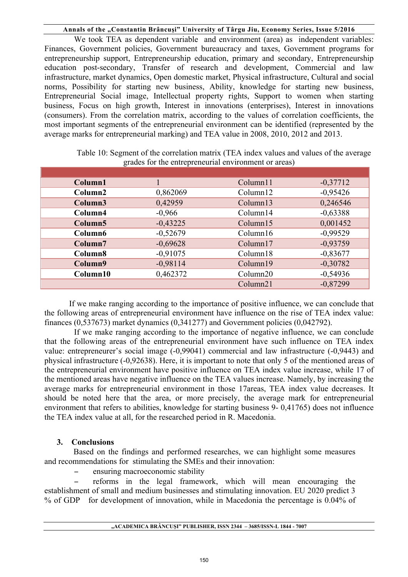We took TEA as dependent variable and environment (area) as independent variables: Finances, Government policies, Government bureaucracy and taxes, Government programs for entrepreneurship support, Entrepreneurship education, primary and secondary, Entrepreneurship education post-secondary, Transfer of research and development, Commercial and law infrastructure, market dynamics, Open domestic market, Physical infrastructure, Cultural and social norms, Possibility for starting new business, Ability, knowledge for starting new business, Entrepreneurial Social image, Intellectual property rights, Support to women when starting business, Focus on high growth, Interest in innovations (enterprises), Interest in innovations (consumers). From the correlation matrix, according to the values of correlation coefficients, the most important segments of the entrepreneurial environment can be identified (represented by the average marks for entrepreneurial marking) and TEA value in 2008, 2010, 2012 and 2013.

| Column1             |            | Column11 | $-0,37712$ |
|---------------------|------------|----------|------------|
| Column2             | 0,862069   | Column12 | $-0,95426$ |
| Column3             | 0,42959    | Column13 | 0,246546   |
| Column4             | $-0,966$   | Column14 | $-0,63388$ |
| Column <sub>5</sub> | $-0,43225$ | Column15 | 0,001452   |
| Column6             | $-0,52679$ | Column16 | $-0,99529$ |
| Column7             | $-0,69628$ | Column17 | $-0,93759$ |
| Column8             | $-0,91075$ | Column18 | $-0,83677$ |
| Column9             | $-0,98114$ | Column19 | $-0,30782$ |
| Column10            | 0,462372   | Column20 | $-0,54936$ |
|                     |            | Column21 | $-0,87299$ |

Table 10: Segment of the correlation matrix (TEA index values and values of the average grades for the entrepreneurial environment or areas)

If we make ranging according to the importance of positive influence, we can conclude that the following areas of entrepreneurial environment have influence on the rise of TEA index value: finances (0,537673) market dynamics (0,341277) and Government policies (0,042792).

If we make ranging according to the importance of negative influence, we can conclude that the following areas of the entrepreneurial environment have such influence on TEA index value: entrepreneurer's social image (-0,99041) commercial and law infrastructure (-0,9443) and physical infrastructure (-0,92638). Here, it is important to note that only 5 of the mentioned areas of the entrepreneurial environment have positive influence on TEA index value increase, while 17 of the mentioned areas have negative influence on the TEA values increase. Namely, by increasing the average marks for entrepreneurial environment in those 17areas, TEA index value decreases. It should be noted here that the area, or more precisely, the average mark for entrepreneurial environment that refers to abilities, knowledge for starting business 9- 0,41765) does not influence the TEA index value at all, for the researched period in R. Macedonia.

## **3. Conclusions**

Based on the findings and performed researches, we can highlight some measures and recommendations for stimulating the SMEs and their innovation:

− ensuring macroeconomic stability

reforms in the legal framework, which will mean encouraging the establishment of small and medium businesses and stimulating innovation. EU 2020 predict 3 % of GDP for development of innovation, while in Macedonia the percentage is 0.04% of